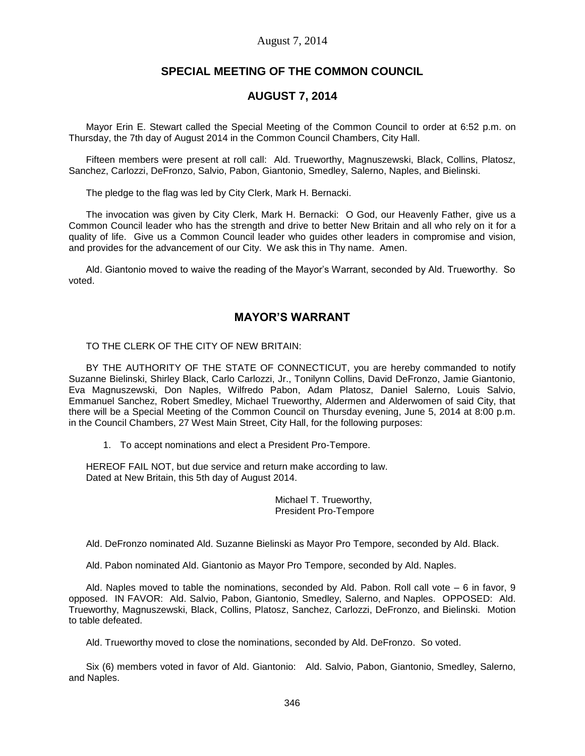#### August 7, 2014

# **SPECIAL MEETING OF THE COMMON COUNCIL**

### **AUGUST 7, 2014**

Mayor Erin E. Stewart called the Special Meeting of the Common Council to order at 6:52 p.m. on Thursday, the 7th day of August 2014 in the Common Council Chambers, City Hall.

Fifteen members were present at roll call: Ald. Trueworthy, Magnuszewski, Black, Collins, Platosz, Sanchez, Carlozzi, DeFronzo, Salvio, Pabon, Giantonio, Smedley, Salerno, Naples, and Bielinski.

The pledge to the flag was led by City Clerk, Mark H. Bernacki.

The invocation was given by City Clerk, Mark H. Bernacki: O God, our Heavenly Father, give us a Common Council leader who has the strength and drive to better New Britain and all who rely on it for a quality of life. Give us a Common Council leader who guides other leaders in compromise and vision, and provides for the advancement of our City. We ask this in Thy name. Amen.

Ald. Giantonio moved to waive the reading of the Mayor's Warrant, seconded by Ald. Trueworthy. So voted.

# **MAYOR'S WARRANT**

TO THE CLERK OF THE CITY OF NEW BRITAIN:

BY THE AUTHORITY OF THE STATE OF CONNECTICUT, you are hereby commanded to notify Suzanne Bielinski, Shirley Black, Carlo Carlozzi, Jr., Tonilynn Collins, David DeFronzo, Jamie Giantonio, Eva Magnuszewski, Don Naples, Wilfredo Pabon, Adam Platosz, Daniel Salerno, Louis Salvio, Emmanuel Sanchez, Robert Smedley, Michael Trueworthy, Aldermen and Alderwomen of said City, that there will be a Special Meeting of the Common Council on Thursday evening, June 5, 2014 at 8:00 p.m. in the Council Chambers, 27 West Main Street, City Hall, for the following purposes:

1. To accept nominations and elect a President Pro-Tempore.

HEREOF FAIL NOT, but due service and return make according to law. Dated at New Britain, this 5th day of August 2014.

> Michael T. Trueworthy, President Pro-Tempore

Ald. DeFronzo nominated Ald. Suzanne Bielinski as Mayor Pro Tempore, seconded by Ald. Black.

Ald. Pabon nominated Ald. Giantonio as Mayor Pro Tempore, seconded by Ald. Naples.

Ald. Naples moved to table the nominations, seconded by Ald. Pabon. Roll call vote – 6 in favor, 9 opposed. IN FAVOR: Ald. Salvio, Pabon, Giantonio, Smedley, Salerno, and Naples. OPPOSED: Ald. Trueworthy, Magnuszewski, Black, Collins, Platosz, Sanchez, Carlozzi, DeFronzo, and Bielinski. Motion to table defeated.

Ald. Trueworthy moved to close the nominations, seconded by Ald. DeFronzo. So voted.

Six (6) members voted in favor of Ald. Giantonio: Ald. Salvio, Pabon, Giantonio, Smedley, Salerno, and Naples.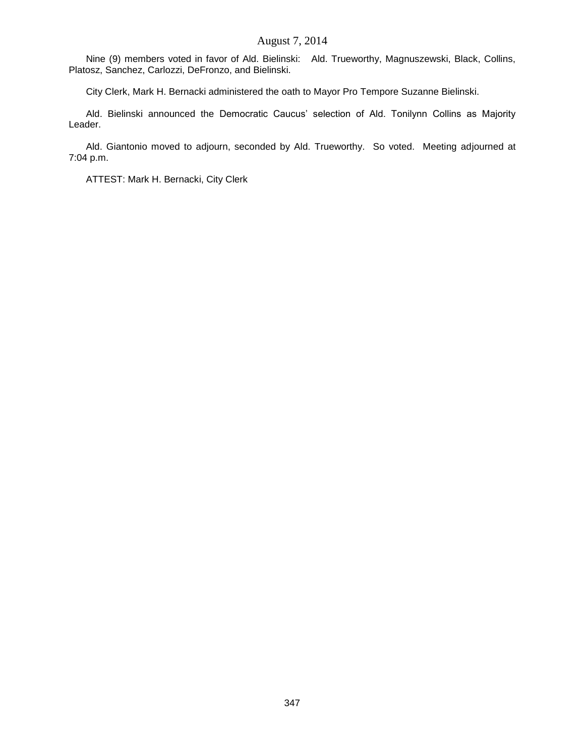### August 7, 2014

Nine (9) members voted in favor of Ald. Bielinski: Ald. Trueworthy, Magnuszewski, Black, Collins, Platosz, Sanchez, Carlozzi, DeFronzo, and Bielinski.

City Clerk, Mark H. Bernacki administered the oath to Mayor Pro Tempore Suzanne Bielinski.

Ald. Bielinski announced the Democratic Caucus' selection of Ald. Tonilynn Collins as Majority Leader.

Ald. Giantonio moved to adjourn, seconded by Ald. Trueworthy. So voted. Meeting adjourned at 7:04 p.m.

ATTEST: Mark H. Bernacki, City Clerk